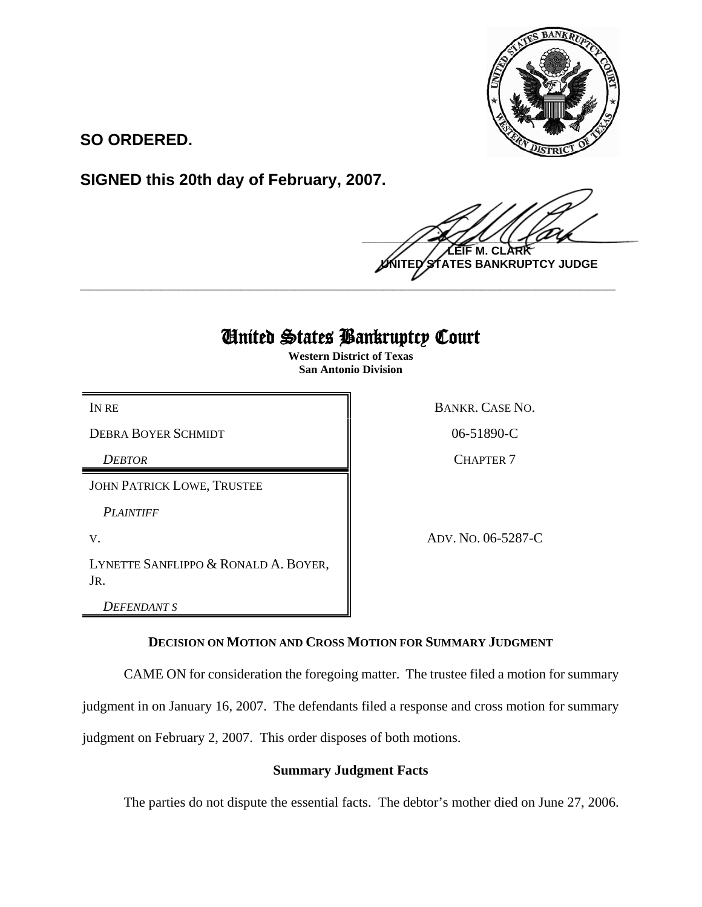

**SO ORDERED.**

**SIGNED this 20th day of February, 2007.**

 $\frac{1}{2}$ **M. NTES BANKRUPTCY JUDGE** 

# United States Bankruptcy Court

**\_\_\_\_\_\_\_\_\_\_\_\_\_\_\_\_\_\_\_\_\_\_\_\_\_\_\_\_\_\_\_\_\_\_\_\_\_\_\_\_\_\_\_\_\_\_\_\_\_\_\_\_\_\_\_\_\_\_\_\_**

**Western District of Texas San Antonio Division**

DEBRA BOYER SCHMIDT 806-51890-C

*DEBTOR* CHAPTER 7

JOHN PATRICK LOWE, TRUSTEE

*PLAINTIFF* 

LYNETTE SANFLIPPO & RONALD A. BOYER, JR.

*DEFENDANT S*

IN RE BANKR. CASE NO.

V. ADV. NO. 06-5287-C

**DECISION ON MOTION AND CROSS MOTION FOR SUMMARY JUDGMENT**

CAME ON for consideration the foregoing matter. The trustee filed a motion for summary

judgment in on January 16, 2007. The defendants filed a response and cross motion for summary

judgment on February 2, 2007. This order disposes of both motions.

## **Summary Judgment Facts**

The parties do not dispute the essential facts. The debtor's mother died on June 27, 2006.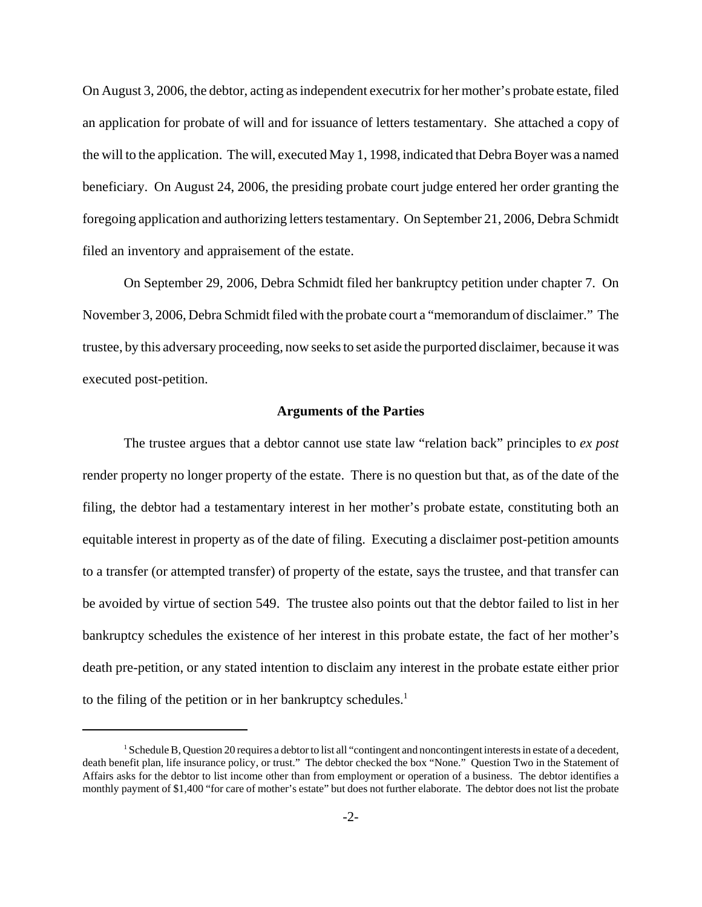On August 3, 2006, the debtor, acting as independent executrix for her mother's probate estate, filed an application for probate of will and for issuance of letters testamentary. She attached a copy of the will to the application. The will, executed May 1, 1998, indicated that Debra Boyer was a named beneficiary. On August 24, 2006, the presiding probate court judge entered her order granting the foregoing application and authorizing letters testamentary. On September 21, 2006, Debra Schmidt filed an inventory and appraisement of the estate.

On September 29, 2006, Debra Schmidt filed her bankruptcy petition under chapter 7. On November 3, 2006, Debra Schmidt filed with the probate court a "memorandum of disclaimer." The trustee, by this adversary proceeding, now seeks to set aside the purported disclaimer, because it was executed post-petition.

#### **Arguments of the Parties**

The trustee argues that a debtor cannot use state law "relation back" principles to *ex post* render property no longer property of the estate. There is no question but that, as of the date of the filing, the debtor had a testamentary interest in her mother's probate estate, constituting both an equitable interest in property as of the date of filing. Executing a disclaimer post-petition amounts to a transfer (or attempted transfer) of property of the estate, says the trustee, and that transfer can be avoided by virtue of section 549. The trustee also points out that the debtor failed to list in her bankruptcy schedules the existence of her interest in this probate estate, the fact of her mother's death pre-petition, or any stated intention to disclaim any interest in the probate estate either prior to the filing of the petition or in her bankruptcy schedules. $<sup>1</sup>$ </sup>

<sup>&</sup>lt;sup>1</sup> Schedule B, Question 20 requires a debtor to list all "contingent and noncontingent interests in estate of a decedent, death benefit plan, life insurance policy, or trust." The debtor checked the box "None." Question Two in the Statement of Affairs asks for the debtor to list income other than from employment or operation of a business. The debtor identifies a monthly payment of \$1,400 "for care of mother's estate" but does not further elaborate. The debtor does not list the probate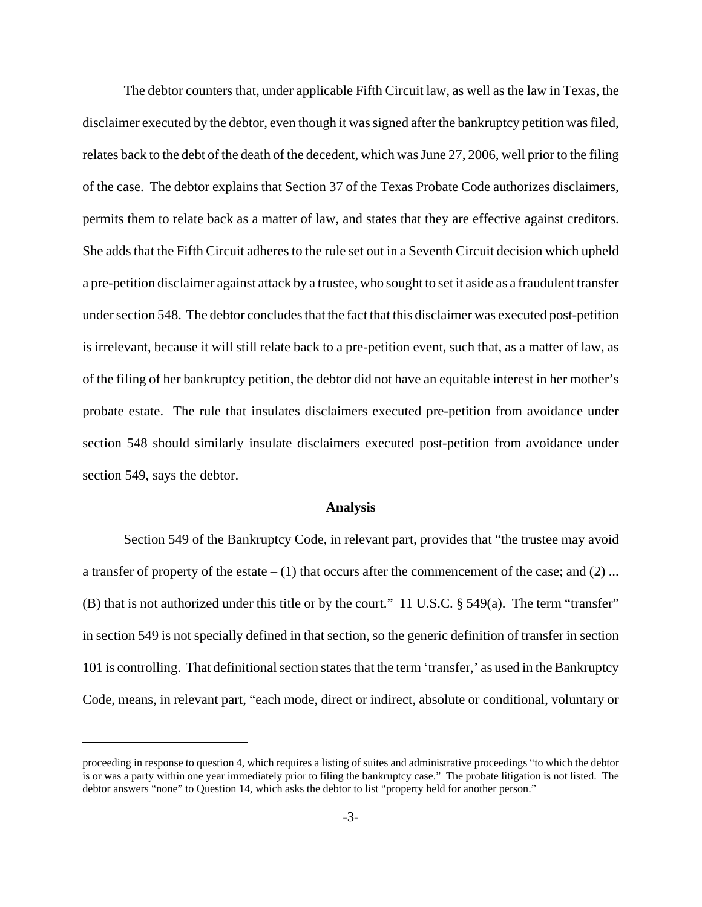The debtor counters that, under applicable Fifth Circuit law, as well as the law in Texas, the disclaimer executed by the debtor, even though it was signed after the bankruptcy petition was filed, relates back to the debt of the death of the decedent, which was June 27, 2006, well prior to the filing of the case. The debtor explains that Section 37 of the Texas Probate Code authorizes disclaimers, permits them to relate back as a matter of law, and states that they are effective against creditors. She adds that the Fifth Circuit adheres to the rule set out in a Seventh Circuit decision which upheld a pre-petition disclaimer against attack by a trustee, who sought to set it aside as a fraudulent transfer under section 548. The debtor concludes that the fact that this disclaimer was executed post-petition is irrelevant, because it will still relate back to a pre-petition event, such that, as a matter of law, as of the filing of her bankruptcy petition, the debtor did not have an equitable interest in her mother's probate estate. The rule that insulates disclaimers executed pre-petition from avoidance under section 548 should similarly insulate disclaimers executed post-petition from avoidance under section 549, says the debtor.

#### **Analysis**

Section 549 of the Bankruptcy Code, in relevant part, provides that "the trustee may avoid a transfer of property of the estate  $- (1)$  that occurs after the commencement of the case; and  $(2)$  ... (B) that is not authorized under this title or by the court." 11 U.S.C. § 549(a). The term "transfer" in section 549 is not specially defined in that section, so the generic definition of transfer in section 101 is controlling. That definitional section states that the term 'transfer,' as used in the Bankruptcy Code, means, in relevant part, "each mode, direct or indirect, absolute or conditional, voluntary or

proceeding in response to question 4, which requires a listing of suites and administrative proceedings "to which the debtor is or was a party within one year immediately prior to filing the bankruptcy case." The probate litigation is not listed. The debtor answers "none" to Question 14, which asks the debtor to list "property held for another person."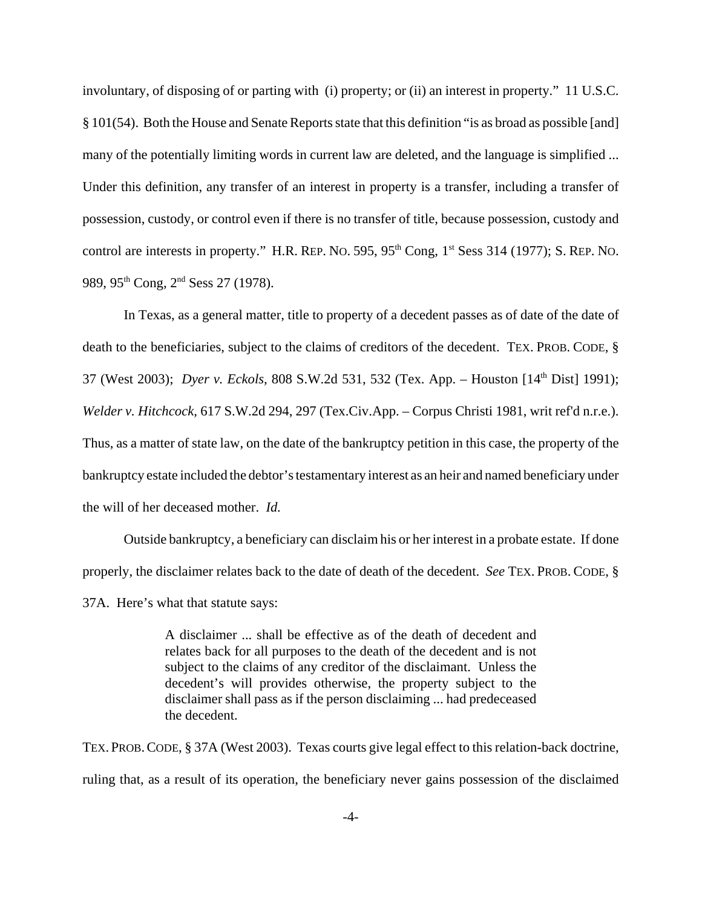involuntary, of disposing of or parting with (i) property; or (ii) an interest in property." 11 U.S.C. § 101(54). Both the House and Senate Reports state that this definition "is as broad as possible [and] many of the potentially limiting words in current law are deleted, and the language is simplified ... Under this definition, any transfer of an interest in property is a transfer, including a transfer of possession, custody, or control even if there is no transfer of title, because possession, custody and control are interests in property." H.R. REP. No. 595,  $95<sup>th</sup>$  Cong,  $1<sup>st</sup>$  Sess 314 (1977); S. REP. No. 989, 95<sup>th</sup> Cong, 2<sup>nd</sup> Sess 27 (1978).

In Texas, as a general matter, title to property of a decedent passes as of date of the date of death to the beneficiaries, subject to the claims of creditors of the decedent. TEX. PROB. CODE, § 37 (West 2003); *Dyer v. Eckols*, 808 S.W.2d 531, 532 (Tex. App. – Houston [14th Dist] 1991); *Welder v. Hitchcock*, 617 S.W.2d 294, 297 (Tex.Civ.App. – Corpus Christi 1981, writ ref'd n.r.e.). Thus, as a matter of state law, on the date of the bankruptcy petition in this case, the property of the bankruptcy estate included the debtor's testamentary interest as an heir and named beneficiary under the will of her deceased mother. *Id.*

Outside bankruptcy, a beneficiary can disclaim his or her interest in a probate estate. If done properly, the disclaimer relates back to the date of death of the decedent. *See* TEX. PROB. CODE, § 37A. Here's what that statute says:

> A disclaimer ... shall be effective as of the death of decedent and relates back for all purposes to the death of the decedent and is not subject to the claims of any creditor of the disclaimant. Unless the decedent's will provides otherwise, the property subject to the disclaimer shall pass as if the person disclaiming ... had predeceased the decedent.

TEX. PROB.CODE, § 37A (West 2003). Texas courts give legal effect to this relation-back doctrine, ruling that, as a result of its operation, the beneficiary never gains possession of the disclaimed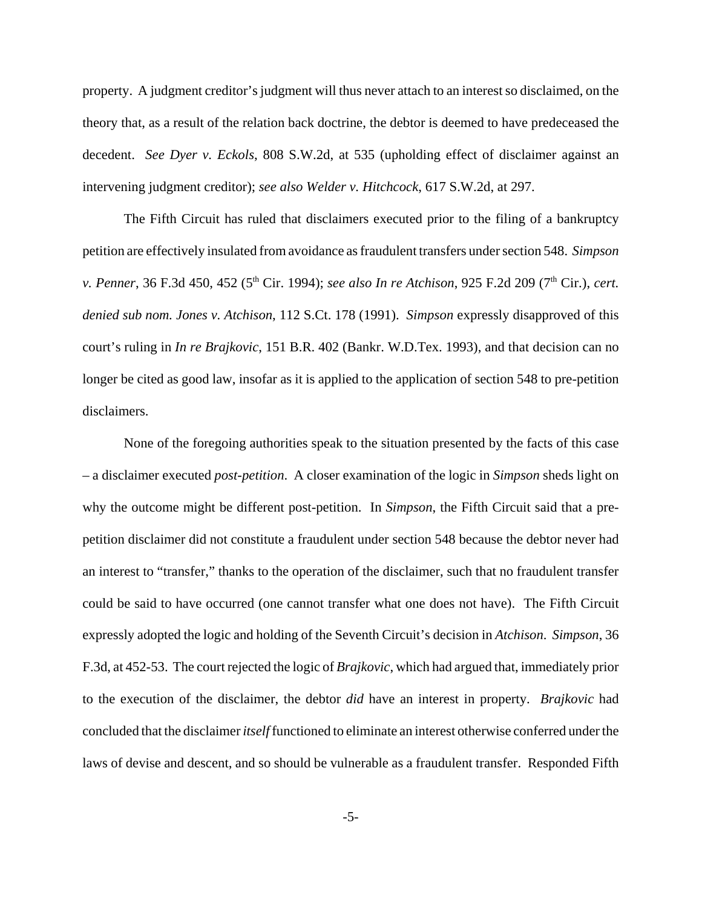property. A judgment creditor's judgment will thus never attach to an interest so disclaimed, on the theory that, as a result of the relation back doctrine, the debtor is deemed to have predeceased the decedent. *See Dyer v. Eckols*, 808 S.W.2d, at 535 (upholding effect of disclaimer against an intervening judgment creditor); *see also Welder v. Hitchcock*, 617 S.W.2d, at 297.

The Fifth Circuit has ruled that disclaimers executed prior to the filing of a bankruptcy petition are effectively insulated from avoidance as fraudulent transfers under section 548. *Simpson v. Penner*, 36 F.3d 450, 452 (5<sup>th</sup> Cir. 1994); *see also In re Atchison*, 925 F.2d 209 (7<sup>th</sup> Cir.), *cert. denied sub nom. Jones v. Atchison*, 112 S.Ct. 178 (1991). *Simpson* expressly disapproved of this court's ruling in *In re Brajkovic*, 151 B.R. 402 (Bankr. W.D.Tex. 1993), and that decision can no longer be cited as good law, insofar as it is applied to the application of section 548 to pre-petition disclaimers.

None of the foregoing authorities speak to the situation presented by the facts of this case – a disclaimer executed *post-petition*. A closer examination of the logic in *Simpson* sheds light on why the outcome might be different post-petition. In *Simpson*, the Fifth Circuit said that a prepetition disclaimer did not constitute a fraudulent under section 548 because the debtor never had an interest to "transfer," thanks to the operation of the disclaimer, such that no fraudulent transfer could be said to have occurred (one cannot transfer what one does not have). The Fifth Circuit expressly adopted the logic and holding of the Seventh Circuit's decision in *Atchison*. *Simpson*, 36 F.3d, at 452-53. The court rejected the logic of *Brajkovic*, which had argued that, immediately prior to the execution of the disclaimer, the debtor *did* have an interest in property. *Brajkovic* had concluded that the disclaimer *itself* functioned to eliminate an interest otherwise conferred under the laws of devise and descent, and so should be vulnerable as a fraudulent transfer. Responded Fifth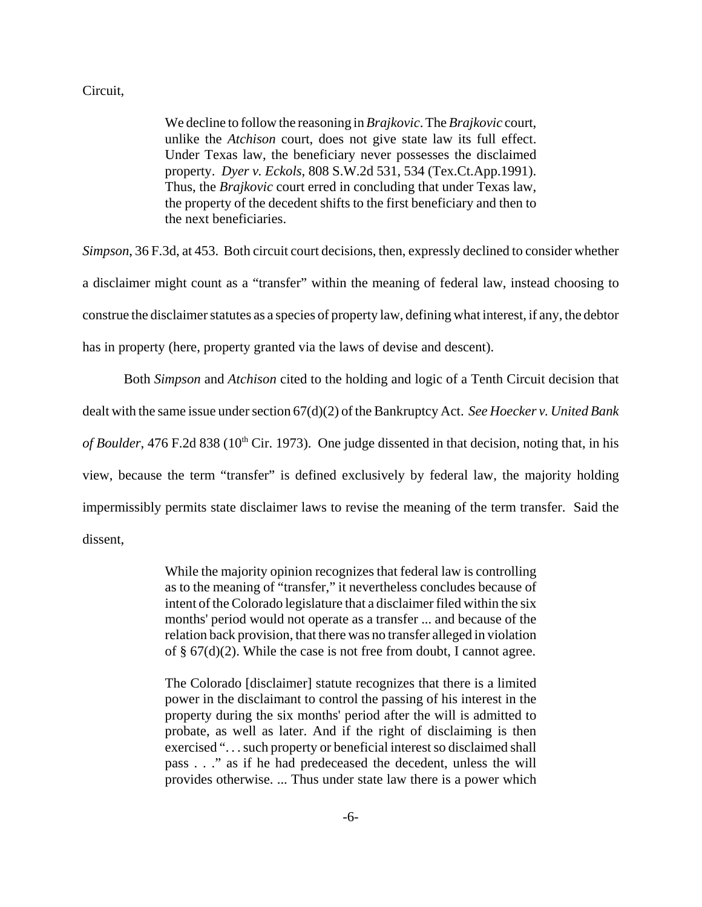#### Circuit,

We decline to follow the reasoning in *Brajkovic*. The *Brajkovic* court, unlike the *Atchison* court, does not give state law its full effect. Under Texas law, the beneficiary never possesses the disclaimed property. *Dyer v. Eckols*, 808 S.W.2d 531, 534 (Tex.Ct.App.1991). Thus, the *Brajkovic* court erred in concluding that under Texas law, the property of the decedent shifts to the first beneficiary and then to the next beneficiaries.

*Simpson*, 36 F.3d, at 453. Both circuit court decisions, then, expressly declined to consider whether a disclaimer might count as a "transfer" within the meaning of federal law, instead choosing to construe the disclaimer statutes as a species of property law, defining what interest, if any, the debtor has in property (here, property granted via the laws of devise and descent).

Both *Simpson* and *Atchison* cited to the holding and logic of a Tenth Circuit decision that dealt with the same issue under section 67(d)(2) of the Bankruptcy Act. *See Hoecker v. United Bank of Boulder*, 476 F.2d 838 (10<sup>th</sup> Cir. 1973). One judge dissented in that decision, noting that, in his view, because the term "transfer" is defined exclusively by federal law, the majority holding impermissibly permits state disclaimer laws to revise the meaning of the term transfer. Said the dissent,

> While the majority opinion recognizes that federal law is controlling as to the meaning of "transfer," it nevertheless concludes because of intent of the Colorado legislature that a disclaimer filed within the six months' period would not operate as a transfer ... and because of the relation back provision, that there was no transfer alleged in violation of  $\S$  67(d)(2). While the case is not free from doubt, I cannot agree.

> The Colorado [disclaimer] statute recognizes that there is a limited power in the disclaimant to control the passing of his interest in the property during the six months' period after the will is admitted to probate, as well as later. And if the right of disclaiming is then exercised ". . . such property or beneficial interest so disclaimed shall pass . . ." as if he had predeceased the decedent, unless the will provides otherwise. ... Thus under state law there is a power which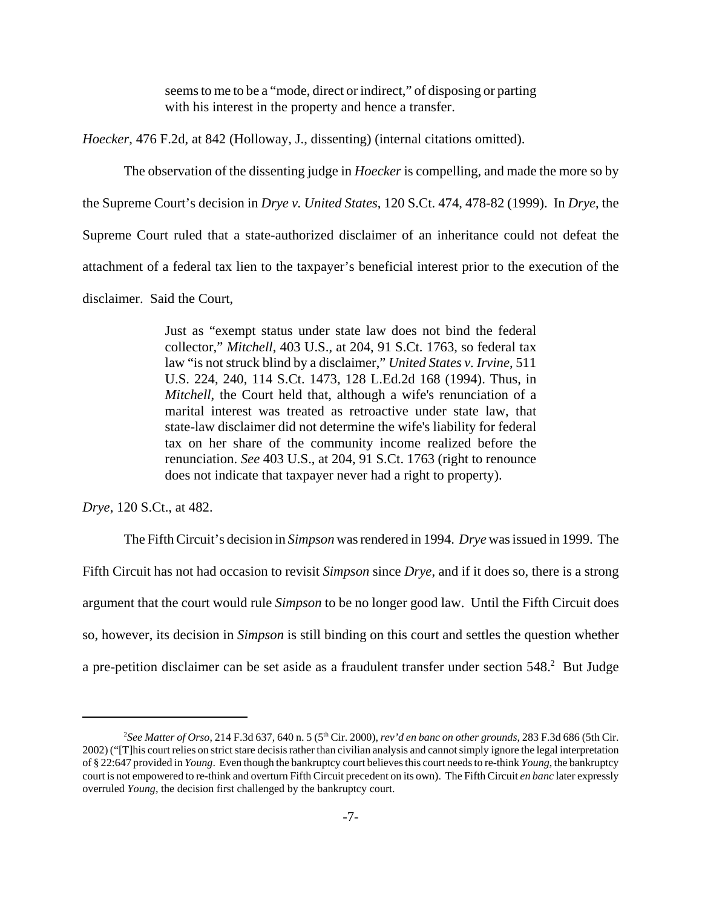seems to me to be a "mode, direct or indirect," of disposing or parting with his interest in the property and hence a transfer.

*Hoecker*, 476 F.2d, at 842 (Holloway, J., dissenting) (internal citations omitted).

The observation of the dissenting judge in *Hoecker* is compelling, and made the more so by

the Supreme Court's decision in *Drye v. United States*, 120 S.Ct. 474, 478-82 (1999). In *Drye*, the

Supreme Court ruled that a state-authorized disclaimer of an inheritance could not defeat the

attachment of a federal tax lien to the taxpayer's beneficial interest prior to the execution of the

disclaimer. Said the Court,

Just as "exempt status under state law does not bind the federal collector," *Mitchell*, 403 U.S., at 204, 91 S.Ct. 1763, so federal tax law "is not struck blind by a disclaimer," *United States v. Irvine*, 511 U.S. 224, 240, 114 S.Ct. 1473, 128 L.Ed.2d 168 (1994). Thus, in *Mitchell*, the Court held that, although a wife's renunciation of a marital interest was treated as retroactive under state law, that state-law disclaimer did not determine the wife's liability for federal tax on her share of the community income realized before the renunciation. *See* 403 U.S., at 204, 91 S.Ct. 1763 (right to renounce does not indicate that taxpayer never had a right to property).

*Drye*, 120 S.Ct., at 482.

The Fifth Circuit's decision in *Simpson* was rendered in 1994. *Drye* was issued in 1999. The Fifth Circuit has not had occasion to revisit *Simpson* since *Drye*, and if it does so, there is a strong argument that the court would rule *Simpson* to be no longer good law. Until the Fifth Circuit does so, however, its decision in *Simpson* is still binding on this court and settles the question whether a pre-petition disclaimer can be set aside as a fraudulent transfer under section 548.<sup>2</sup> But Judge

<sup>2</sup> *See Matter of Orso*, 214 F.3d 637, 640 n. 5 (5th Cir. 2000), *rev'd en banc on other grounds*, 283 F.3d 686 (5th Cir. 2002) ("[T]his court relies on strict stare decisis rather than civilian analysis and cannot simply ignore the legal interpretation of § 22:647 provided in *Young*. Even though the bankruptcy court believes this court needs to re-think *Young*, the bankruptcy court is not empowered to re-think and overturn Fifth Circuit precedent on its own). The Fifth Circuit *en banc* later expressly overruled *Young*, the decision first challenged by the bankruptcy court.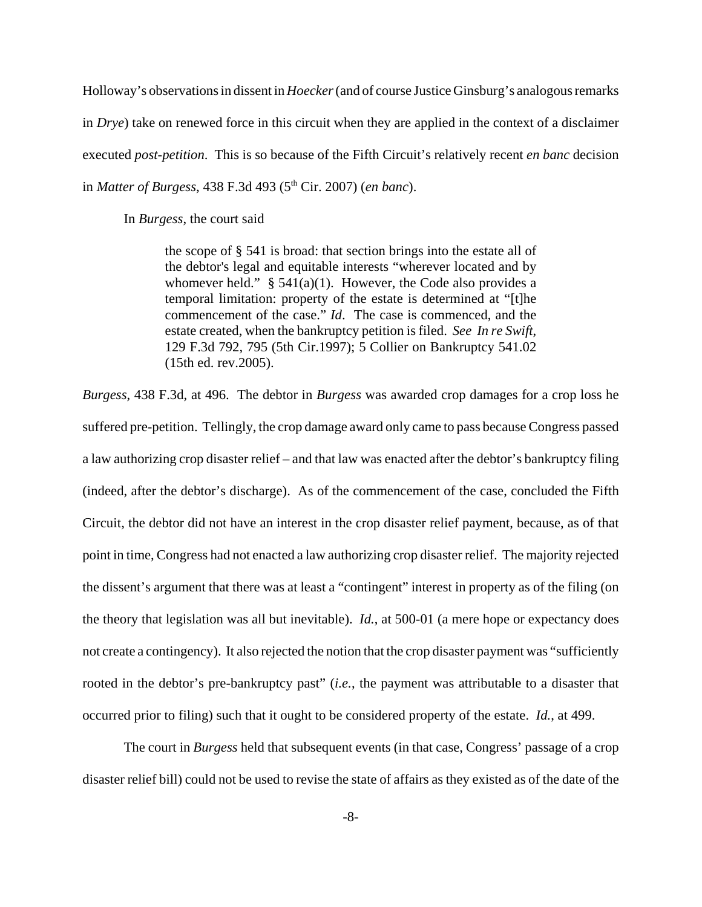Holloway's observations in dissent in *Hoecker* (and of course Justice Ginsburg's analogous remarks in *Drye*) take on renewed force in this circuit when they are applied in the context of a disclaimer executed *post-petition*. This is so because of the Fifth Circuit's relatively recent *en banc* decision in *Matter of Burgess*, 438 F.3d 493 (5th Cir. 2007) (*en banc*).

In *Burgess*, the court said

the scope of § 541 is broad: that section brings into the estate all of the debtor's legal and equitable interests "wherever located and by whomever held."  $\S$  541(a)(1). However, the Code also provides a temporal limitation: property of the estate is determined at "[t]he commencement of the case." *Id*. The case is commenced, and the estate created, when the bankruptcy petition is filed. *See In re Swift*, 129 F.3d 792, 795 (5th Cir.1997); 5 Collier on Bankruptcy 541.02 (15th ed. rev.2005).

*Burgess*, 438 F.3d, at 496. The debtor in *Burgess* was awarded crop damages for a crop loss he suffered pre-petition. Tellingly, the crop damage award only came to pass because Congress passed a law authorizing crop disaster relief – and that law was enacted after the debtor's bankruptcy filing (indeed, after the debtor's discharge). As of the commencement of the case, concluded the Fifth Circuit, the debtor did not have an interest in the crop disaster relief payment, because, as of that point in time, Congress had not enacted a law authorizing crop disaster relief. The majority rejected the dissent's argument that there was at least a "contingent" interest in property as of the filing (on the theory that legislation was all but inevitable). *Id.*, at 500-01 (a mere hope or expectancy does not create a contingency). It also rejected the notion that the crop disaster payment was "sufficiently rooted in the debtor's pre-bankruptcy past" (*i.e.*, the payment was attributable to a disaster that occurred prior to filing) such that it ought to be considered property of the estate. *Id.*, at 499.

The court in *Burgess* held that subsequent events (in that case, Congress' passage of a crop disaster relief bill) could not be used to revise the state of affairs as they existed as of the date of the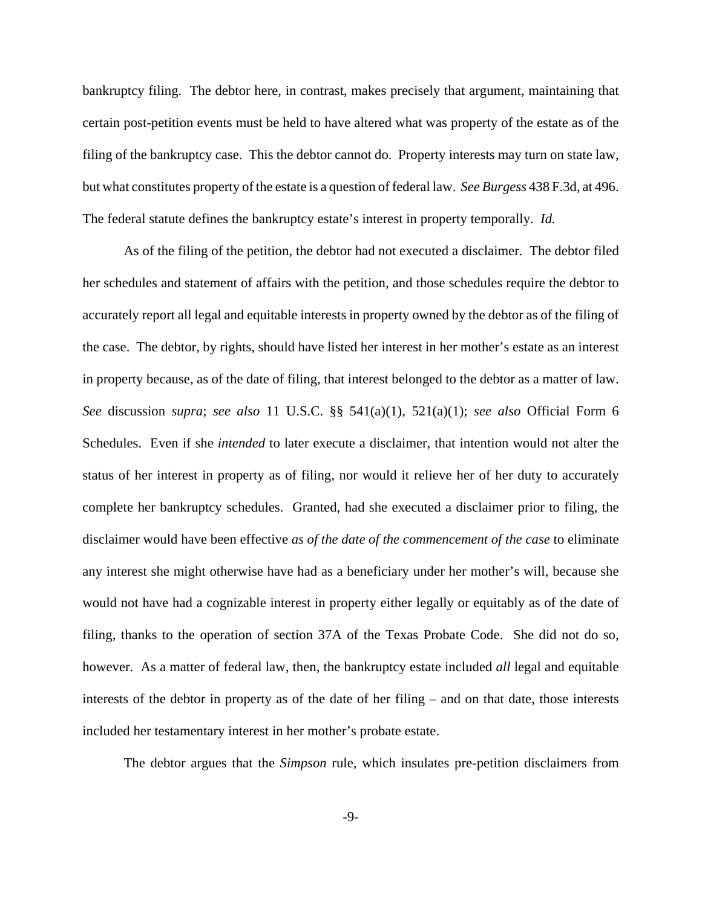bankruptcy filing. The debtor here, in contrast, makes precisely that argument, maintaining that certain post-petition events must be held to have altered what was property of the estate as of the filing of the bankruptcy case. This the debtor cannot do. Property interests may turn on state law, but what constitutes property of the estate is a question of federal law. *See Burgess* 438 F.3d, at 496. The federal statute defines the bankruptcy estate's interest in property temporally. *Id.*

As of the filing of the petition, the debtor had not executed a disclaimer. The debtor filed her schedules and statement of affairs with the petition, and those schedules require the debtor to accurately report all legal and equitable interests in property owned by the debtor as of the filing of the case. The debtor, by rights, should have listed her interest in her mother's estate as an interest in property because, as of the date of filing, that interest belonged to the debtor as a matter of law. *See* discussion *supra*; *see also* 11 U.S.C. §§ 541(a)(1), 521(a)(1); *see also* Official Form 6 Schedules. Even if she *intended* to later execute a disclaimer, that intention would not alter the status of her interest in property as of filing, nor would it relieve her of her duty to accurately complete her bankruptcy schedules. Granted, had she executed a disclaimer prior to filing, the disclaimer would have been effective *as of the date of the commencement of the case* to eliminate any interest she might otherwise have had as a beneficiary under her mother's will, because she would not have had a cognizable interest in property either legally or equitably as of the date of filing, thanks to the operation of section 37A of the Texas Probate Code. She did not do so, however. As a matter of federal law, then, the bankruptcy estate included *all* legal and equitable interests of the debtor in property as of the date of her filing – and on that date, those interests included her testamentary interest in her mother's probate estate.

The debtor argues that the *Simpson* rule, which insulates pre-petition disclaimers from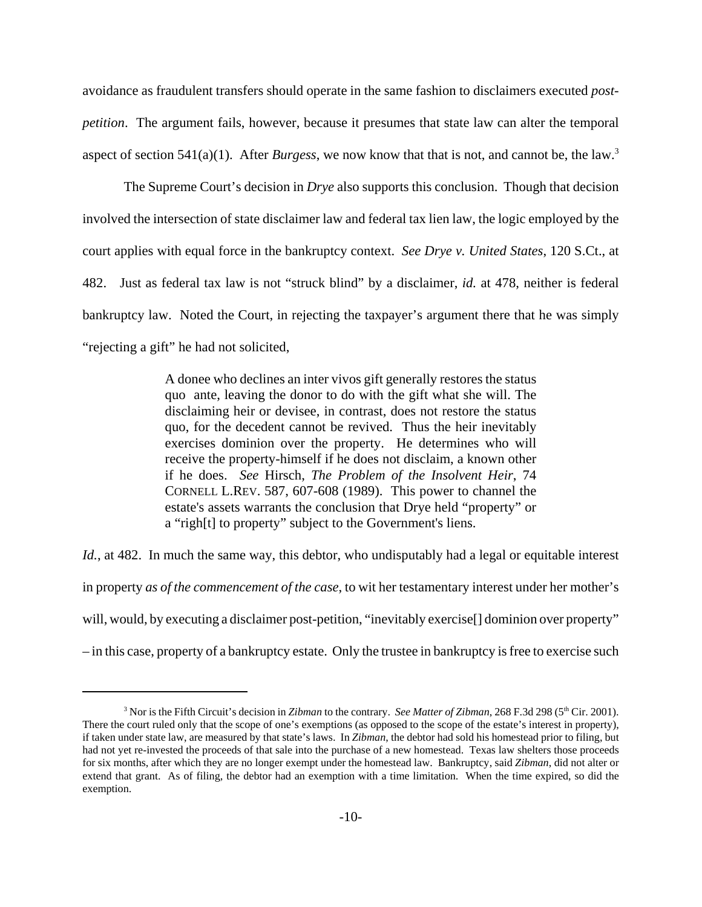avoidance as fraudulent transfers should operate in the same fashion to disclaimers executed *postpetition*. The argument fails, however, because it presumes that state law can alter the temporal aspect of section 541(a)(1). After *Burgess*, we now know that that is not, and cannot be, the law.3

The Supreme Court's decision in *Drye* also supports this conclusion. Though that decision involved the intersection of state disclaimer law and federal tax lien law, the logic employed by the court applies with equal force in the bankruptcy context. *See Drye v. United States*, 120 S.Ct., at 482. Just as federal tax law is not "struck blind" by a disclaimer, *id.* at 478, neither is federal bankruptcy law. Noted the Court, in rejecting the taxpayer's argument there that he was simply "rejecting a gift" he had not solicited,

> A donee who declines an inter vivos gift generally restores the status quo ante, leaving the donor to do with the gift what she will. The disclaiming heir or devisee, in contrast, does not restore the status quo, for the decedent cannot be revived. Thus the heir inevitably exercises dominion over the property. He determines who will receive the property-himself if he does not disclaim, a known other if he does. *See* Hirsch, *The Problem of the Insolvent Heir*, 74 CORNELL L.REV. 587, 607-608 (1989). This power to channel the estate's assets warrants the conclusion that Drye held "property" or a "righ[t] to property" subject to the Government's liens.

*Id.*, at 482. In much the same way, this debtor, who undisputably had a legal or equitable interest in property *as of the commencement of the case*, to wit her testamentary interest under her mother's will, would, by executing a disclaimer post-petition, "inevitably exercise<sup>[]</sup> dominion over property" – in this case, property of a bankruptcy estate. Only the trustee in bankruptcy is free to exercise such

<sup>&</sup>lt;sup>3</sup> Nor is the Fifth Circuit's decision in *Zibman* to the contrary. *See Matter of Zibman*, 268 F.3d 298 (5<sup>th</sup> Cir. 2001). There the court ruled only that the scope of one's exemptions (as opposed to the scope of the estate's interest in property), if taken under state law, are measured by that state's laws. In *Zibman*, the debtor had sold his homestead prior to filing, but had not yet re-invested the proceeds of that sale into the purchase of a new homestead. Texas law shelters those proceeds for six months, after which they are no longer exempt under the homestead law. Bankruptcy, said *Zibman*, did not alter or extend that grant. As of filing, the debtor had an exemption with a time limitation. When the time expired, so did the exemption.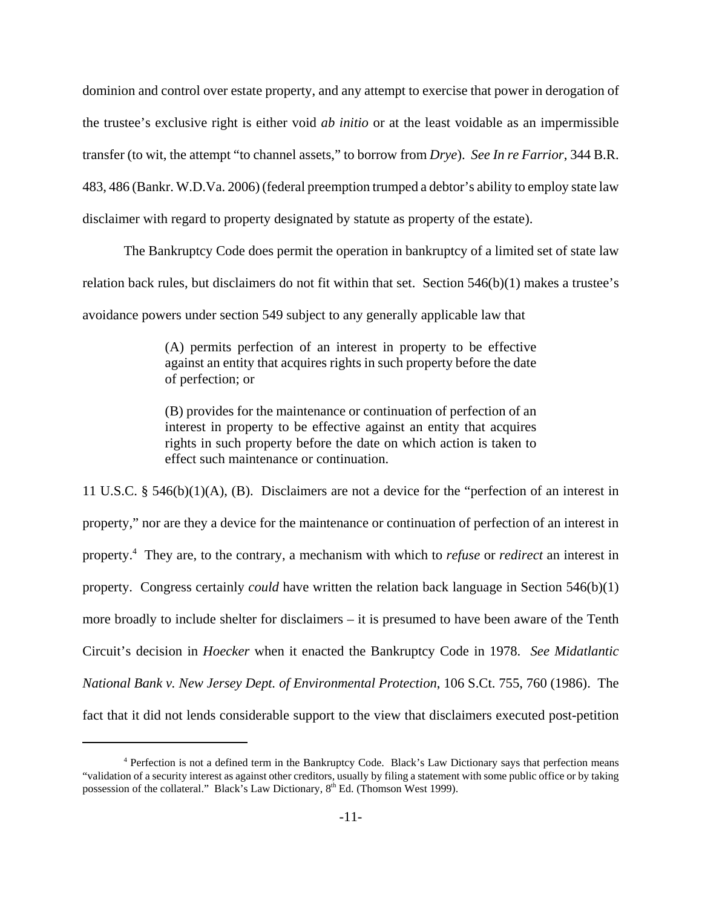dominion and control over estate property, and any attempt to exercise that power in derogation of the trustee's exclusive right is either void *ab initio* or at the least voidable as an impermissible transfer (to wit, the attempt "to channel assets," to borrow from *Drye*). *See In re Farrior*, 344 B.R. 483, 486 (Bankr. W.D.Va. 2006) (federal preemption trumped a debtor's ability to employ state law disclaimer with regard to property designated by statute as property of the estate).

The Bankruptcy Code does permit the operation in bankruptcy of a limited set of state law relation back rules, but disclaimers do not fit within that set. Section 546(b)(1) makes a trustee's avoidance powers under section 549 subject to any generally applicable law that

> (A) permits perfection of an interest in property to be effective against an entity that acquires rights in such property before the date of perfection; or

> (B) provides for the maintenance or continuation of perfection of an interest in property to be effective against an entity that acquires rights in such property before the date on which action is taken to effect such maintenance or continuation.

11 U.S.C. § 546(b)(1)(A), (B). Disclaimers are not a device for the "perfection of an interest in property," nor are they a device for the maintenance or continuation of perfection of an interest in property.4 They are, to the contrary, a mechanism with which to *refuse* or *redirect* an interest in property. Congress certainly *could* have written the relation back language in Section 546(b)(1) more broadly to include shelter for disclaimers – it is presumed to have been aware of the Tenth Circuit's decision in *Hoecker* when it enacted the Bankruptcy Code in 1978. *See Midatlantic National Bank v. New Jersey Dept. of Environmental Protection*, 106 S.Ct. 755, 760 (1986). The fact that it did not lends considerable support to the view that disclaimers executed post-petition

<sup>4</sup> Perfection is not a defined term in the Bankruptcy Code. Black's Law Dictionary says that perfection means "validation of a security interest as against other creditors, usually by filing a statement with some public office or by taking possession of the collateral." Black's Law Dictionary,  $8<sup>th</sup>$  Ed. (Thomson West 1999).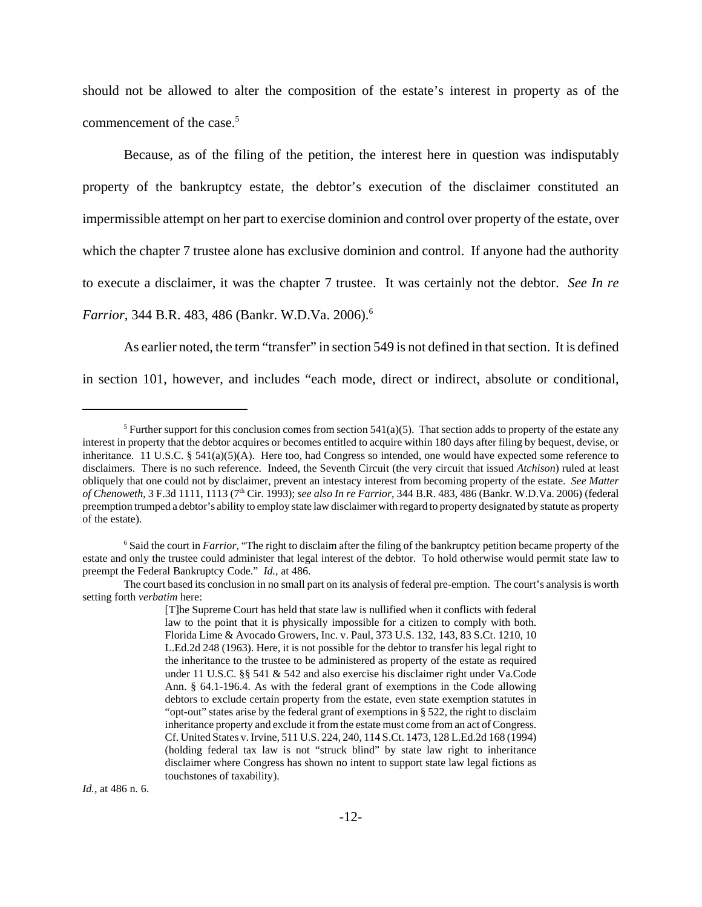should not be allowed to alter the composition of the estate's interest in property as of the commencement of the case.<sup>5</sup>

Because, as of the filing of the petition, the interest here in question was indisputably property of the bankruptcy estate, the debtor's execution of the disclaimer constituted an impermissible attempt on her part to exercise dominion and control over property of the estate, over which the chapter 7 trustee alone has exclusive dominion and control. If anyone had the authority to execute a disclaimer, it was the chapter 7 trustee. It was certainly not the debtor. *See In re Farrior*, 344 B.R. 483, 486 (Bankr. W.D.Va. 2006).6

As earlier noted, the term "transfer" in section 549 is not defined in that section. It is defined in section 101, however, and includes "each mode, direct or indirect, absolute or conditional,

*Id.*, at 486 n. 6.

<sup>&</sup>lt;sup>5</sup> Further support for this conclusion comes from section 541(a)(5). That section adds to property of the estate any interest in property that the debtor acquires or becomes entitled to acquire within 180 days after filing by bequest, devise, or inheritance. 11 U.S.C. § 541(a)(5)(A). Here too, had Congress so intended, one would have expected some reference to disclaimers. There is no such reference. Indeed, the Seventh Circuit (the very circuit that issued *Atchison*) ruled at least obliquely that one could not by disclaimer, prevent an intestacy interest from becoming property of the estate. *See Matter of Chenoweth*, 3 F.3d 1111, 1113 (7th Cir. 1993); *see also In re Farrior*, 344 B.R. 483, 486 (Bankr. W.D.Va. 2006) (federal preemption trumped a debtor's ability to employ state law disclaimer with regard to property designated by statute as property of the estate).

<sup>&</sup>lt;sup>6</sup> Said the court in *Farrior*, "The right to disclaim after the filing of the bankruptcy petition became property of the estate and only the trustee could administer that legal interest of the debtor. To hold otherwise would permit state law to preempt the Federal Bankruptcy Code." *Id.*, at 486.

The court based its conclusion in no small part on its analysis of federal pre-emption. The court's analysis is worth setting forth *verbatim* here:

<sup>[</sup>T]he Supreme Court has held that state law is nullified when it conflicts with federal law to the point that it is physically impossible for a citizen to comply with both. Florida Lime & Avocado Growers, Inc. v. Paul, 373 U.S. 132, 143, 83 S.Ct. 1210, 10 L.Ed.2d 248 (1963). Here, it is not possible for the debtor to transfer his legal right to the inheritance to the trustee to be administered as property of the estate as required under 11 U.S.C. §§ 541 & 542 and also exercise his disclaimer right under Va.Code Ann. § 64.1-196.4. As with the federal grant of exemptions in the Code allowing debtors to exclude certain property from the estate, even state exemption statutes in "opt-out" states arise by the federal grant of exemptions in § 522, the right to disclaim inheritance property and exclude it from the estate must come from an act of Congress. Cf. United States v. Irvine, 511 U.S. 224, 240, 114 S.Ct. 1473, 128 L.Ed.2d 168 (1994) (holding federal tax law is not "struck blind" by state law right to inheritance disclaimer where Congress has shown no intent to support state law legal fictions as touchstones of taxability).